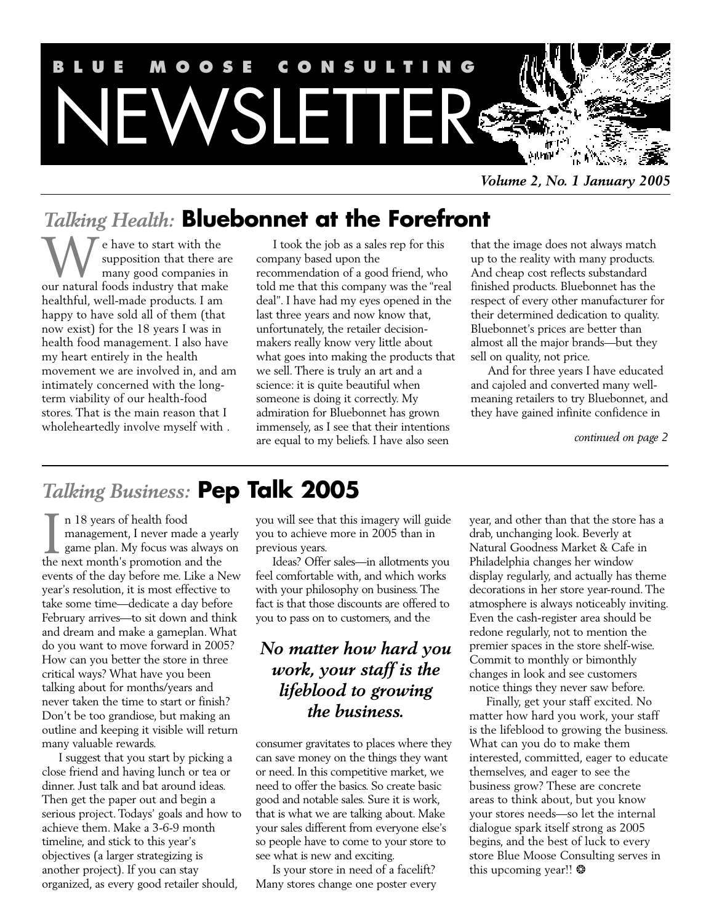

*Volume 2, No. 1 January 2005*

# *Talking Health:* **Bluebonnet at the Forefront**

e have to start with the supposition that there are many good companies in We have to start with the supposition that there are many good companies in our natural foods industry that make healthful, well-made products. I am happy to have sold all of them (that now exist) for the 18 years I was in health food management. I also have my heart entirely in the health movement we are involved in, and am intimately concerned with the longterm viability of our health-food stores. That is the main reason that I wholeheartedly involve myself with .

I took the job as a sales rep for this company based upon the recommendation of a good friend, who told me that this company was the "real deal". I have had my eyes opened in the last three years and now know that, unfortunately, the retailer decisionmakers really know very little about what goes into making the products that we sell. There is truly an art and a science: it is quite beautiful when someone is doing it correctly. My admiration for Bluebonnet has grown immensely, as I see that their intentions are equal to my beliefs. I have also seen

that the image does not always match up to the reality with many products. And cheap cost reflects substandard finished products. Bluebonnet has the respect of every other manufacturer for their determined dedication to quality. Bluebonnet's prices are better than almost all the major brands—but they sell on quality, not price.

And for three years I have educated and cajoled and converted many wellmeaning retailers to try Bluebonnet, and they have gained infinite confidence in

*continued on page 2*

# *Talking Business:* **Pep Talk 2005**

n 18 years of health food management, I never made a yearly game plan. My focus was always on In 18 years of health food<br>management, I never made a year<br>game plan. My focus was always<br>the next month's promotion and the events of the day before me. Like a New year's resolution, it is most effective to take some time—dedicate a day before February arrives—to sit down and think and dream and make a gameplan. What do you want to move forward in 2005? How can you better the store in three critical ways? What have you been talking about for months/years and never taken the time to start or finish? Don't be too grandiose, but making an outline and keeping it visible will return many valuable rewards.

I suggest that you start by picking a close friend and having lunch or tea or dinner. Just talk and bat around ideas. Then get the paper out and begin a serious project. Todays' goals and how to achieve them. Make a 3-6-9 month timeline, and stick to this year's objectives (a larger strategizing is another project). If you can stay organized, as every good retailer should,

you will see that this imagery will guide you to achieve more in 2005 than in previous years.

Ideas? Offer sales—in allotments you feel comfortable with, and which works with your philosophy on business. The fact is that those discounts are offered to you to pass on to customers, and the

# *No matter how hard you work, your staff is the lifeblood to growing the business.*

consumer gravitates to places where they can save money on the things they want or need. In this competitive market, we need to offer the basics. So create basic good and notable sales. Sure it is work, that is what we are talking about. Make your sales different from everyone else's so people have to come to your store to see what is new and exciting.

Is your store in need of a facelift? Many stores change one poster every year, and other than that the store has a drab, unchanging look. Beverly at Natural Goodness Market & Cafe in Philadelphia changes her window display regularly, and actually has theme decorations in her store year-round. The atmosphere is always noticeably inviting. Even the cash-register area should be redone regularly, not to mention the premier spaces in the store shelf-wise. Commit to monthly or bimonthly changes in look and see customers notice things they never saw before.

Finally, get your staff excited. No matter how hard you work, your staff is the lifeblood to growing the business. What can you do to make them interested, committed, eager to educate themselves, and eager to see the business grow? These are concrete areas to think about, but you know your stores needs—so let the internal dialogue spark itself strong as 2005 begins, and the best of luck to every store Blue Moose Consulting serves in this upcoming year!! \*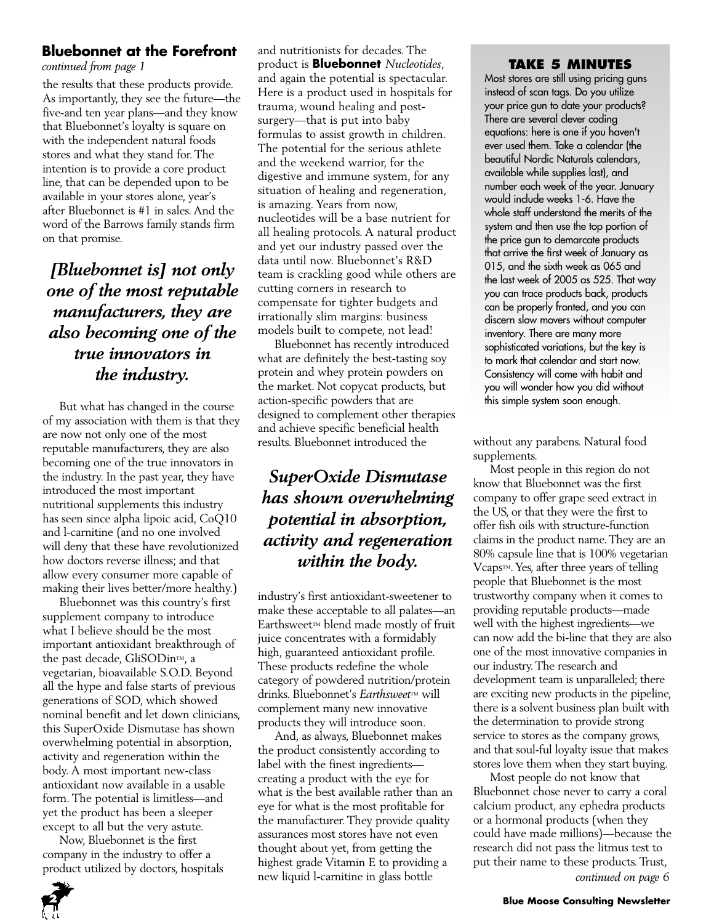### **Bluebonnet at the Forefront**

*continued from page 1*

the results that these products provide. As importantly, they see the future—the five-and ten year plans—and they know that Bluebonnet's loyalty is square on with the independent natural foods stores and what they stand for. The intention is to provide a core product line, that can be depended upon to be available in your stores alone, year's after Bluebonnet is #1 in sales. And the word of the Barrows family stands firm on that promise.

# *[Bluebonnet is] not only one of the most reputable manufacturers, they are also becoming one of the true innovators in the industry.*

But what has changed in the course of my association with them is that they are now not only one of the most reputable manufacturers, they are also becoming one of the true innovators in the industry. In the past year, they have introduced the most important nutritional supplements this industry has seen since alpha lipoic acid, CoQ10 and l-carnitine (and no one involved will deny that these have revolutionized how doctors reverse illness; and that allow every consumer more capable of making their lives better/more healthy.)

Bluebonnet was this country's first supplement company to introduce what I believe should be the most important antioxidant breakthrough of the past decade, GliSODin™, a vegetarian, bioavailable S.O.D. Beyond all the hype and false starts of previous generations of SOD, which showed nominal benefit and let down clinicians, this SuperOxide Dismutase has shown overwhelming potential in absorption, activity and regeneration within the body. A most important new-class antioxidant now available in a usable form. The potential is limitless—and yet the product has been a sleeper except to all but the very astute.

Now, Bluebonnet is the first company in the industry to offer a product utilized by doctors, hospitals and nutritionists for decades. The product is **Bluebonnet** *Nucleotides*, and again the potential is spectacular. Here is a product used in hospitals for trauma, wound healing and postsurgery—that is put into baby formulas to assist growth in children. The potential for the serious athlete and the weekend warrior, for the digestive and immune system, for any situation of healing and regeneration, is amazing. Years from now, nucleotides will be a base nutrient for all healing protocols. A natural product and yet our industry passed over the data until now. Bluebonnet's R&D team is crackling good while others are cutting corners in research to compensate for tighter budgets and irrationally slim margins: business models built to compete, not lead!

Bluebonnet has recently introduced what are definitely the best-tasting soy protein and whey protein powders on the market. Not copycat products, but action-specific powders that are designed to complement other therapies and achieve specific beneficial health results. Bluebonnet introduced the

# *SuperOxide Dismutase has shown overwhelming potential in absorption, activity and regeneration within the body.*

industry's first antioxidant-sweetener to make these acceptable to all palates—an Earthsweet™ blend made mostly of fruit juice concentrates with a formidably high, guaranteed antioxidant profile. These products redefine the whole category of powdered nutrition/protein drinks. Bluebonnet's *Earthsweet*™ will complement many new innovative products they will introduce soon.

And, as always, Bluebonnet makes the product consistently according to label with the finest ingredients creating a product with the eye for what is the best available rather than an eye for what is the most profitable for the manufacturer. They provide quality assurances most stores have not even thought about yet, from getting the highest grade Vitamin E to providing a new liquid l-carnitine in glass bottle

### **TAKE 5 MINUTES**

Most stores are still using pricing guns instead of scan tags. Do you utilize your price gun to date your products? There are several clever coding equations: here is one if you haven't ever used them. Take a calendar (the beautiful Nordic Naturals calendars, available while supplies last), and number each week of the year. January would include weeks 1-6. Have the whole staff understand the merits of the system and then use the top portion of the price gun to demarcate products that arrive the first week of January as 015, and the sixth week as 065 and the last week of 2005 as 525. That way you can trace products back, products can be properly fronted, and you can discern slow movers without computer inventory. There are many more sophisticated variations, but the key is to mark that calendar and start now. Consistency will come with habit and you will wonder how you did without this simple system soon enough.

without any parabens. Natural food supplements.

Most people in this region do not know that Bluebonnet was the first company to offer grape seed extract in the US, or that they were the first to offer fish oils with structure-function claims in the product name. They are an 80% capsule line that is 100% vegetarian Vcaps™. Yes, after three years of telling people that Bluebonnet is the most trustworthy company when it comes to providing reputable products—made well with the highest ingredients—we can now add the bi-line that they are also one of the most innovative companies in our industry. The research and development team is unparalleled; there are exciting new products in the pipeline, there is a solvent business plan built with the determination to provide strong service to stores as the company grows, and that soul-ful loyalty issue that makes stores love them when they start buying.

Most people do not know that Bluebonnet chose never to carry a coral calcium product, any ephedra products or a hormonal products (when they could have made millions)—because the research did not pass the litmus test to put their name to these products. Trust, *continued on page 6*



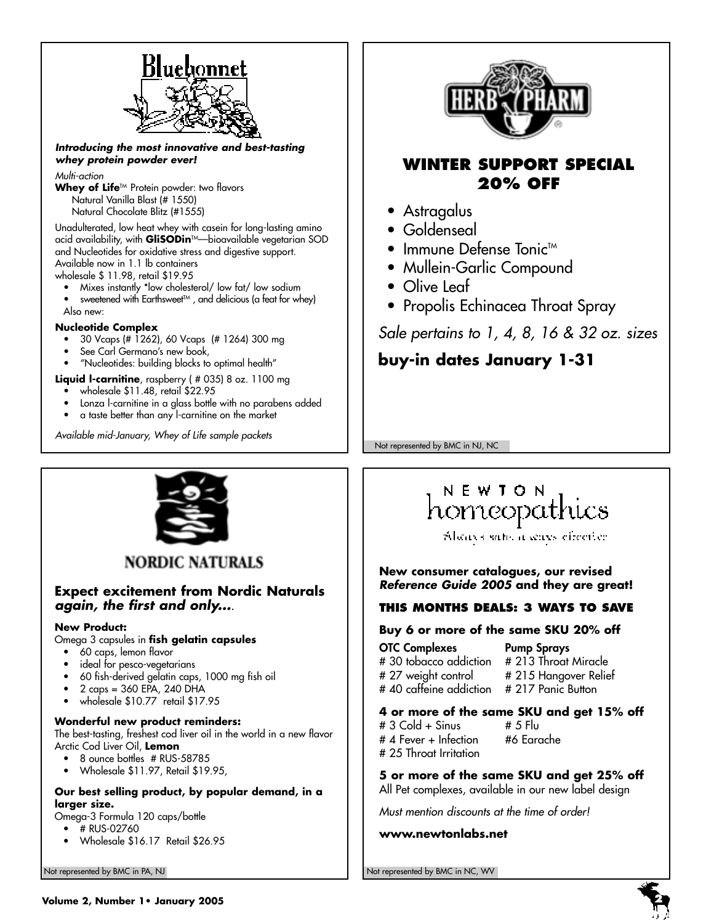

#### *Introducing the most innovative and best-tasting whey protein powder ever!*

#### *Multi-action*

Whey of Life<sup>TM</sup> Protein powder: two flavors Natural Vanilla Blast (# 1550) Natural Chocolate Blitz (#1555)

Unadulterated, low heat whey with casein for long-lasting amino acid availability, with **GliSODin**™—bioavailable vegetarian SOD and Nucleotides for oxidative stress and digestive support. Available now in 1.1 lb containers

wholesale \$ 11.98, retail \$19.95

- Mixes instantly \*low cholesterol/ low fat/ low sodium
- sweetened with Earthsweet $T^M$ , and delicious (a feat for whey) Also new:

#### **Nucleotide Complex**

- 30 Vcaps (# 1262), 60 Vcaps (# 1264) 300 mg
- See Carl Germano's new book,
- "Nucleotides: building blocks to optimal health"

**Liquid l-carnitine**, raspberry ( # 035) 8 oz. 1100 mg

- wholesale \$11.48, retail \$22.95
- Lonza l-carnitine in a glass bottle with no parabens added
- a taste better than any l-carnitine on the market

*Available mid-January, Whey of Life sample packets*



# **WINTER SUPPORT SPECIAL 20% OFF**

- Astragalus
- Goldenseal
- $\bullet$  Immune Defense Tonic<sup>TM</sup>
- Mullein-Garlic Compound
- Olive Leaf
- Propolis Echinacea Throat Spray

*Sale pertains to 1, 4, 8, 16 & 32 oz. sizes*

# **buy-in dates January 1-31**

Not represented by BMC in NJ, NC



**NORDIC NATURALS** 

### **Expect excitement from Nordic Naturals** *again, the first and only...*.

#### **New Product:**

Omega 3 capsules in **fish gelatin capsules**

- 60 caps, lemon flavor
- ideal for pesco-vegetarians
- 60 fish-derived gelatin caps, 1000 mg fish oil
- 2 caps = 360 EPA, 240 DHA
- wholesale \$10.77 retail \$17.95

#### **Wonderful new product reminders:**

The best-tasting, freshest cod liver oil in the world in a new flavor Arctic Cod Liver Oil, **Lemon**

- 8 ounce bottles # RUS-58785
- Wholesale \$11.97, Retail \$19.95,

#### **Our best selling product, by popular demand, in a larger size.**

Omega-3 Formula 120 caps/bottle

- # RUS-02760
- Wholesale \$16.17 Retail \$26.95

# NEWION homeopathics

Alicays sale a seass effection

**New consumer catalogues, our revised** *Reference Guide 2005* **and they are great!**

### **THIS MONTHS DEALS: 3 WAYS TO SAVE**

#### **Buy 6 or more of the same SKU 20% off**

**OTC Complexes Pump Sprays** # 30 tobacco addiction # 213 Throat Miracle # 27 weight control # 215 Hangover Relief # 40 caffeine addiction # 217 Panic Button

# **4 or more of the same SKU and get 15% off**<br># 3 Cold + Sinus  $\qquad$  # 5 Flu

- $\# 3$  Cold + Sinus  $\# 5$  Flu<br> $\# 4$  Fever + Infection  $\# 6$  Egrache  $# 4$  Fever  $+$  Infection # 25 Throat Irritation
- **5 or more of the same SKU and get 25% off**

All Pet complexes, available in our new label design

*Must mention discounts at the time of order!*

**www.newtonlabs.net**

Not represented by BMC in PA, NJ Not represented by BMC in NC, WV

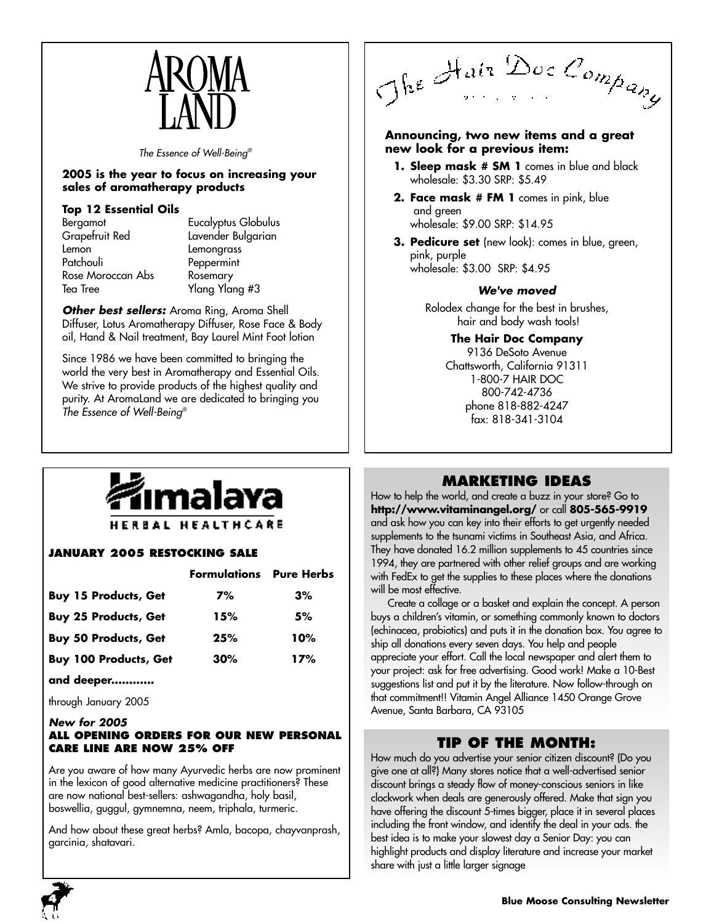

*The Essence of Well-Being®*

#### **2005 is the year to focus on increasing your sales of aromatherapy products**

#### **Top 12 Essential Oils**

| Bergamot          |
|-------------------|
| Grapefruit Red    |
| Lemon             |
| Patchouli         |
| Rose Moroccan Abs |
| Tea Tree          |

Eucalyptus Globulus Lavender Bulgarian **Lemongrass** Peppermint Rosemary Ylang Ylang #3

*Other best sellers:* Aroma Ring, Aroma Shell Diffuser, Lotus Aromatherapy Diffuser, Rose Face & Body oil, Hand & Nail treatment, Bay Laurel Mint Foot lotion

Since 1986 we have been committed to bringing the world the very best in Aromatherapy and Essential Oils. We strive to provide products of the highest quality and purity. At AromaLand we are dedicated to bringing you *The Essence of Well-Being®*

The Hair Doc Company

#### **Announcing, two new items and a great new look for a previous item:**

- **1. Sleep mask # SM 1** comes in blue and black wholesale: \$3.30 SRP: \$5.49
- **2. Face mask # FM 1** comes in pink, blue and green wholesale: \$9.00 SRP: \$14.95
- **3. Pedicure set** (new look): comes in blue, green, pink, purple

wholesale: \$3.00 SRP: \$4.95

#### *We've moved*

Rolodex change for the best in brushes, hair and body wash tools!

> **The Hair Doc Company** 9136 DeSoto Avenue Chattsworth, California 91311 1-800-7 HAIR DOC 800-742-4736 phone 818-882-4247 fax: 818-341-3104



### HERBAL HEALTHCARE

#### **JANUARY 2005 RESTOCKING SALE**

| <b>Formulations</b> Pure Herbs |     |
|--------------------------------|-----|
| 7%                             | 3%  |
| 15%                            | 5%  |
| 25%                            | 10% |
| 30%                            | 17% |
|                                |     |

#### **and deeper............**

through January 2005

#### *New for 2005*

#### **ALL OPENING ORDERS FOR OUR NEW PERSONAL CARE LINE ARE NOW 25% OFF**

Are you aware of how many Ayurvedic herbs are now prominent in the lexicon of good alternative medicine practitioners? These are now national best-sellers: ashwagandha, holy basil, boswellia, guggul, gymnemna, neem, triphala, turmeric.

And how about these great herbs? Amla, bacopa, chayvanprash, garcinia, shatavari.

# **MARKETING IDEAS**

How to help the world, and create a buzz in your store? Go to **http://www.vitaminangel.org/** or call **805-565-9919** and ask how you can key into their efforts to get urgently needed supplements to the tsunami victims in Southeast Asia, and Africa. They have donated 16.2 million supplements to 45 countries since 1994, they are partnered with other relief groups and are working with FedEx to get the supplies to these places where the donations will be most effective.

Create a collage or a basket and explain the concept. A person buys a children's vitamin, or something commonly known to doctors (echinacea, probiotics) and puts it in the donation box. You agree to ship all donations every seven days. You help and people appreciate your effort. Call the local newspaper and alert them to your project: ask for free advertising. Good work! Make a 10-Best suggestions list and put it by the literature. Now follow-through on that commitment!! Vitamin Angel Alliance 1450 Orange Grove Avenue, Santa Barbara, CA 93105

### **TIP OF THE MONTH:**

How much do you advertise your senior citizen discount? (Do you give one at all?) Many stores notice that a well-advertised senior discount brings a steady flow of money-conscious seniors in like clockwork when deals are generously offered. Make that sign you have offering the discount 5-times bigger, place it in several places including the front window, and identify the deal in your ads. the best idea is to make your slowest day a Senior Day: you can highlight products and display literature and increase your market share with just a little larger signage

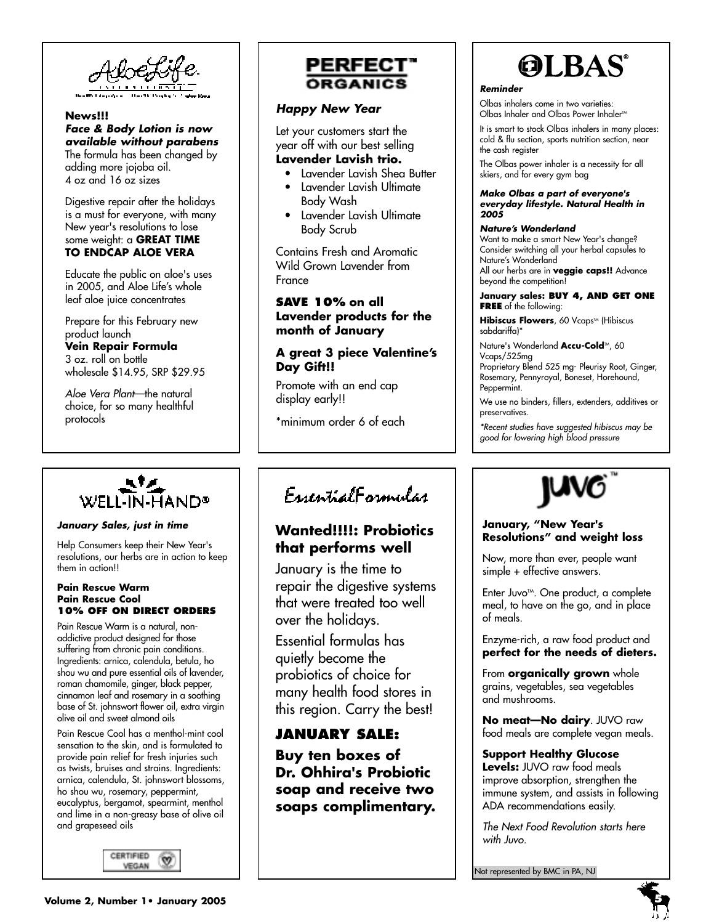

#### **News!!!** *Face & Body Lotion is now available without parabens* The formula has been changed by adding more jojoba oil. 4 oz and 16 oz sizes

Digestive repair after the holidays is a must for everyone, with many New year's resolutions to lose some weight: a **GREAT TIME TO ENDCAP ALOE VERA**

Educate the public on aloe's uses in 2005, and Aloe Life's whole leaf aloe juice concentrates

Prepare for this February new product launch **Vein Repair Formula** 3 oz. roll on bottle wholesale \$14.95, SRP \$29.95

*Aloe Vera Plant*—the natural choice, for so many healthful protocols



#### *January Sales, just in time*

Help Consumers keep their New Year's resolutions, our herbs are in action to keep them in action!!

#### **Pain Rescue Warm Pain Rescue Cool 10% OFF ON DIRECT ORDERS**

Pain Rescue Warm is a natural, nonaddictive product designed for those suffering from chronic pain conditions. Ingredients: arnica, calendula, betula, ho shou wu and pure essential oils of lavender, roman chamomile, ginger, black pepper, cinnamon leaf and rosemary in a soothing base of St. johnswort flower oil, extra virgin olive oil and sweet almond oils

Pain Rescue Cool has a menthol-mint cool sensation to the skin, and is formulated to provide pain relief for fresh injuries such as twists, bruises and strains. Ingredients: arnica, calendula, St. johnswort blossoms, ho shou wu, rosemary, peppermint, eucalyptus, bergamot, spearmint, menthol and lime in a non-greasy base of olive oil and grapeseed oils





#### *Happy New Year*

Let your customers start the year off with our best selling **Lavender Lavish trio.**

- Lavender Lavish Shea Butter
- Lavender Lavish Ultimate Body Wash
- Lavender Lavish Ultimate Body Scrub

Contains Fresh and Aromatic Wild Grown Lavender from France

### **SAVE 10% on all Lavender products for the month of January**

#### **A great 3 piece Valentine's Day Gift!!**

Promote with an end cap display early!!

\*minimum order 6 of each

# **OLBAS®**

#### *Reminder*

Olbas inhalers come in two varieties: Olbas Inhaler and Olbas Power Inhaler™

It is smart to stock Olbas inhalers in many places: cold & flu section, sports nutrition section, near the cash register

The Olbas power inhaler is a necessity for all skiers, and for every gym bag

#### *Make Olbas a part of everyone's everyday lifestyle. Natural Health in 2005*

#### *Nature's Wonderland*

Want to make a smart New Year's change? Consider switching all your herbal capsules to Nature's Wonderland All our herbs are in **veggie caps!!** Advance beyond the competition!

#### **January sales: BUY 4, AND GET ONE FREE** of the following:

**Hibiscus Flowers**, 60 Vcaps™ (Hibiscus sabdariffa)\*

Nature's Wonderland **Accu-Cold**™, 60 Vcaps/525mg

Proprietary Blend 525 mg- Pleurisy Root, Ginger, Rosemary, Pennyroyal, Boneset, Horehound, Peppermint.

We use no binders, fillers, extenders, additives or preservatives.

*\*Recent studies have suggested hibiscus may be good for lowering high blood pressure*

# EugentialEgymular

# **Wanted!!!!: Probiotics that performs well**

January is the time to repair the digestive systems that were treated too well over the holidays.

Essential formulas has quietly become the probiotics of choice for many health food stores in this region. Carry the best!

# **JANUARY SALE:**

**Buy ten boxes of Dr. Ohhira's Probiotic soap and receive two soaps complimentary.**



#### **January, "New Year's Resolutions" and weight loss**

Now, more than ever, people want simple + effective answers.

Enter Juvo<sup> $M$ </sup>. One product, a complete meal, to have on the go, and in place of meals.

Enzyme-rich, a raw food product and **perfect for the needs of dieters.**

From **organically grown** whole grains, vegetables, sea vegetables and mushrooms.

**No meat—No dairy**. JUVO raw food meals are complete vegan meals.

#### **Support Healthy Glucose**

**Levels:** JUVO raw food meals improve absorption, strengthen the immune system, and assists in following ADA recommendations easily.

*The Next Food Revolution starts here with Juvo.*

Not represented by BMC in PA, NJ